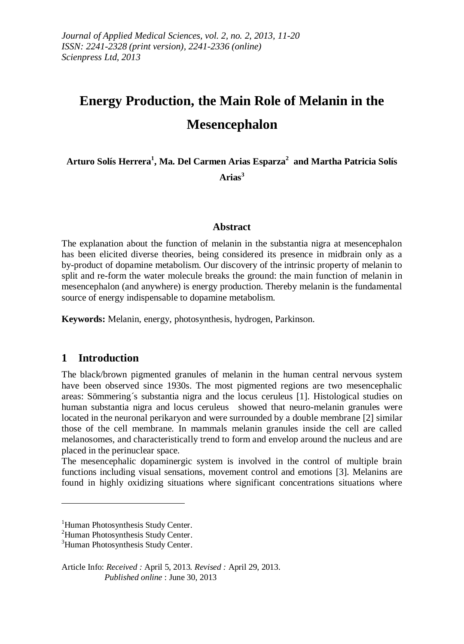# **Energy Production, the Main Role of Melanin in the Mesencephalon**

**Arturo Solís Herrera<sup>1</sup> , Ma. Del Carmen Arias Esparza<sup>2</sup> and Martha Patricia Solís** 

**Arias<sup>3</sup>**

#### **Abstract**

The explanation about the function of melanin in the substantia nigra at mesencephalon has been elicited diverse theories, being considered its presence in midbrain only as a by-product of dopamine metabolism. Our discovery of the intrinsic property of melanin to split and re-form the water molecule breaks the ground: the main function of melanin in mesencephalon (and anywhere) is energy production. Thereby melanin is the fundamental source of energy indispensable to dopamine metabolism.

**Keywords:** Melanin, energy, photosynthesis, hydrogen, Parkinson.

## **1 Introduction**

<u>.</u>

The black/brown pigmented granules of melanin in the human central nervous system have been observed since 1930s. The most pigmented regions are two mesencephalic areas: Sömmering´s substantia nigra and the locus ceruleus [1]. Histological studies on human substantia nigra and locus ceruleus showed that neuro-melanin granules were located in the neuronal perikaryon and were surrounded by a double membrane [2] similar those of the cell membrane. In mammals melanin granules inside the cell are called melanosomes, and characteristically trend to form and envelop around the nucleus and are placed in the perinuclear space.

The mesencephalic dopaminergic system is involved in the control of multiple brain functions including visual sensations, movement control and emotions [3]. Melanins are found in highly oxidizing situations where significant concentrations situations where

Article Info: *Received :* April 5, 2013*. Revised :* April 29, 2013.  *Published online* : June 30, 2013

<sup>&</sup>lt;sup>1</sup>Human Photosynthesis Study Center.

<sup>&</sup>lt;sup>2</sup>Human Photosynthesis Study Center.

<sup>&</sup>lt;sup>3</sup>Human Photosynthesis Study Center.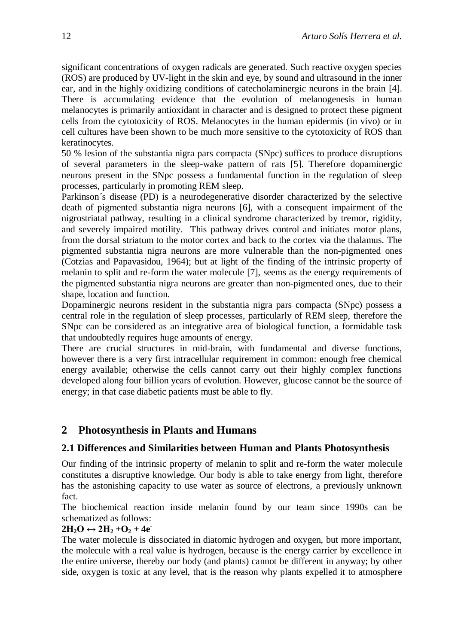significant concentrations of oxygen radicals are generated. Such reactive oxygen species (ROS) are produced by UV-light in the skin and eye, by sound and ultrasound in the inner ear, and in the highly oxidizing conditions of catecholaminergic neurons in the brain [4]. There is accumulating evidence that the evolution of melanogenesis in human melanocytes is primarily antioxidant in character and is designed to protect these pigment cells from the cytotoxicity of ROS. Melanocytes in the human epidermis (in vivo) or in cell cultures have been shown to be much more sensitive to the cytotoxicity of ROS than keratinocytes.

50 % lesion of the substantia nigra pars compacta (SNpc) suffices to produce disruptions of several parameters in the sleep-wake pattern of rats [5]. Therefore dopaminergic neurons present in the SNpc possess a fundamental function in the regulation of sleep processes, particularly in promoting REM sleep.

Parkinson´s disease (PD) is a neurodegenerative disorder characterized by the selective death of pigmented substantia nigra neurons [6], with a consequent impairment of the nigrostriatal pathway, resulting in a clinical syndrome characterized by tremor, rigidity, and severely impaired motility. This pathway drives control and initiates motor plans, from the dorsal striatum to the motor cortex and back to the cortex via the thalamus. The pigmented substantia nigra neurons are more vulnerable than the non-pigmented ones (Cotzias and Papavasidou, 1964); but at light of the finding of the intrinsic property of melanin to split and re-form the water molecule [7], seems as the energy requirements of the pigmented substantia nigra neurons are greater than non-pigmented ones, due to their shape, location and function.

Dopaminergic neurons resident in the substantia nigra pars compacta (SNpc) possess a central role in the regulation of sleep processes, particularly of REM sleep, therefore the SNpc can be considered as an integrative area of biological function, a formidable task that undoubtedly requires huge amounts of energy.

There are crucial structures in mid-brain, with fundamental and diverse functions, however there is a very first intracellular requirement in common: enough free chemical energy available; otherwise the cells cannot carry out their highly complex functions developed along four billion years of evolution. However, glucose cannot be the source of energy; in that case diabetic patients must be able to fly.

# **2 Photosynthesis in Plants and Humans**

## **2.1 Differences and Similarities between Human and Plants Photosynthesis**

Our finding of the intrinsic property of melanin to split and re-form the water molecule constitutes a disruptive knowledge. Our body is able to take energy from light, therefore has the astonishing capacity to use water as source of electrons, a previously unknown fact.

The biochemical reaction inside melanin found by our team since 1990s can be schematized as follows:

## $2H_2O \leftrightarrow 2H_2 + O_2 + 4e^-$

The water molecule is dissociated in diatomic hydrogen and oxygen, but more important, the molecule with a real value is hydrogen, because is the energy carrier by excellence in the entire universe, thereby our body (and plants) cannot be different in anyway; by other side, oxygen is toxic at any level, that is the reason why plants expelled it to atmosphere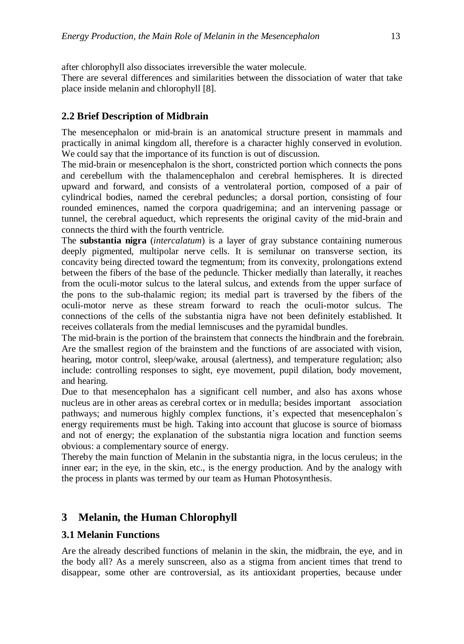after chlorophyll also dissociates irreversible the water molecule.

There are several differences and similarities between the dissociation of water that take place inside melanin and chlorophyll [8].

## **2.2 Brief Description of Midbrain**

The mesencephalon or mid-brain is an anatomical structure present in mammals and practically in animal kingdom all, therefore is a character highly conserved in evolution. We could say that the importance of its function is out of discussion.

The mid-brain or mesencephalon is the short, constricted portion which connects the pons and cerebellum with the thalamencephalon and cerebral hemispheres. It is directed upward and forward, and consists of a ventrolateral portion, composed of a pair of cylindrical bodies, named the cerebral peduncles; a dorsal portion, consisting of four rounded eminences, named the corpora quadrigemina; and an intervening passage or tunnel, the cerebral aqueduct, which represents the original cavity of the mid-brain and connects the third with the fourth ventricle.

The **substantia nigra** (*intercalatum*) is a layer of gray substance containing numerous deeply pigmented, multipolar nerve cells. It is semilunar on transverse section, its concavity being directed toward the tegmentum; from its convexity, prolongations extend between the fibers of the base of the peduncle. Thicker medially than laterally, it reaches from the oculi-motor sulcus to the lateral sulcus, and extends from the upper surface of the pons to the sub-thalamic region; its medial part is traversed by the fibers of the oculi-motor nerve as these stream forward to reach the oculi-motor sulcus. The connections of the cells of the substantia nigra have not been definitely established. It receives collaterals from the medial lemniscuses and the pyramidal bundles.

The mid-brain is the portion of the brainstem that connects the hindbrain and the forebrain. Are the smallest region of the brainstem and the functions of are associated with vision, hearing, motor control, sleep/wake, arousal (alertness), and temperature regulation; also include: controlling responses to sight, eye movement, pupil dilation, body movement, and hearing.

Due to that mesencephalon has a significant cell number, and also has axons whose nucleus are in other areas as cerebral cortex or in medulla; besides important association pathways; and numerous highly complex functions, it's expected that mesencephalon´s energy requirements must be high. Taking into account that glucose is source of biomass and not of energy; the explanation of the substantia nigra location and function seems obvious: a complementary source of energy.

Thereby the main function of Melanin in the substantia nigra, in the locus ceruleus; in the inner ear; in the eye, in the skin, etc., is the energy production. And by the analogy with the process in plants was termed by our team as Human Photosynthesis.

# **3 Melanin, the Human Chlorophyll**

## **3.1 Melanin Functions**

Are the already described functions of melanin in the skin, the midbrain, the eye, and in the body all? As a merely sunscreen, also as a stigma from ancient times that trend to disappear, some other are controversial, as its antioxidant properties, because under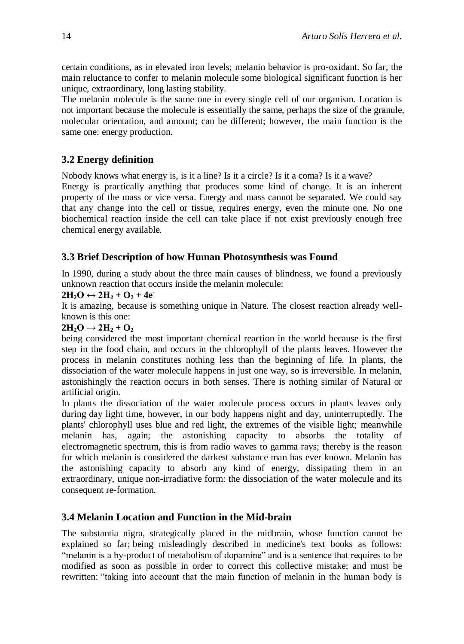certain conditions, as in elevated iron levels; melanin behavior is pro-oxidant. So far, the main reluctance to confer to melanin molecule some biological significant function is her unique, extraordinary, long lasting stability.

The melanin molecule is the same one in every single cell of our organism. Location is not important because the molecule is essentially the same, perhaps the size of the granule, molecular orientation, and amount; can be different; however, the main function is the same one: energy production.

## **3.2 Energy definition**

Nobody knows what energy is, is it a line? Is it a circle? Is it a coma? Is it a wave?

Energy is practically anything that produces some kind of change. It is an inherent property of the mass or vice versa. Energy and mass cannot be separated. We could say that any change into the cell or tissue, requires energy, even the minute one. No one biochemical reaction inside the cell can take place if not exist previously enough free chemical energy available.

## **3.3 Brief Description of how Human Photosynthesis was Found**

In 1990, during a study about the three main causes of blindness, we found a previously unknown reaction that occurs inside the melanin molecule:

#### $2H_2O$  ↔  $2H_2 + O_2 + 4e^-$

It is amazing, because is something unique in Nature. The closest reaction already wellknown is this one:

## $2H_2O \rightarrow 2H_2 + O_2$

being considered the most important chemical reaction in the world because is the first step in the food chain, and occurs in the chlorophyll of the plants leaves. However the process in melanin constitutes nothing less than the beginning of life. In plants, the dissociation of the water molecule happens in just one way, so is irreversible. In melanin, astonishingly the reaction occurs in both senses. There is nothing similar of Natural or artificial origin.

In plants the dissociation of the water molecule process occurs in plants leaves only during day light time, however, in our body happens night and day, uninterruptedly. The plants' chlorophyll uses blue and red light, the extremes of the visible light; meanwhile melanin has, again; the astonishing capacity to absorbs the totality of electromagnetic spectrum, this is from radio waves to gamma rays; thereby is the reason for which melanin is considered the darkest substance man has ever known. Melanin has the astonishing capacity to absorb any kind of energy, dissipating them in an extraordinary, unique non-irradiative form: the dissociation of the water molecule and its consequent re-formation.

## **3.4 Melanin Location and Function in the Mid-brain**

The substantia nigra, strategically placed in the midbrain, whose function cannot be explained so far; being misleadingly described in medicine's text books as follows: "melanin is a by-product of metabolism of dopamine" and is a sentence that requires to be modified as soon as possible in order to correct this collective mistake; and must be rewritten: "taking into account that the main function of melanin in the human body is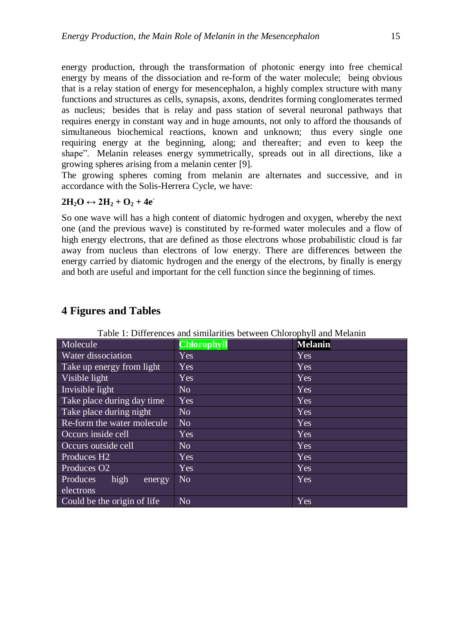energy production, through the transformation of photonic energy into free chemical energy by means of the dissociation and re-form of the water molecule; being obvious that is a relay station of energy for mesencephalon, a highly complex structure with many functions and structures as cells, synapsis, axons, dendrites forming conglomerates termed as nucleus; besides that is relay and pass station of several neuronal pathways that requires energy in constant way and in huge amounts, not only to afford the thousands of simultaneous biochemical reactions, known and unknown; thus every single one requiring energy at the beginning, along; and thereafter; and even to keep the shape". Melanin releases energy symmetrically, spreads out in all directions, like a growing spheres arising from a melanin center [9].

The growing spheres coming from melanin are alternates and successive, and in accordance with the Solis-Herrera Cycle, we have:

#### $2H_2O \leftrightarrow 2H_2 + O_2 + 4e^-$

So one wave will has a high content of diatomic hydrogen and oxygen, whereby the next one (and the previous wave) is constituted by re-formed water molecules and a flow of high energy electrons, that are defined as those electrons whose probabilistic cloud is far away from nucleus than electrons of low energy. There are differences between the energy carried by diatomic hydrogen and the energy of the electrons, by finally is energy and both are useful and important for the cell function since the beginning of times.

| raone 1. D'hiterences and shimarities occureen emorophym and meadum |                    |                |
|---------------------------------------------------------------------|--------------------|----------------|
| Molecule                                                            | <b>Chlorophyll</b> | <b>Melanin</b> |
| Water dissociation                                                  | Yes                | Yes            |
| Take up energy from light                                           | <b>Yes</b>         | Yes            |
| Visible light                                                       | Yes                | Yes            |
| Invisible light                                                     | No.                | Yes            |
| Take place during day time                                          | Yes                | Yes            |
| Take place during night                                             | N <sub>o</sub>     | Yes            |
| Re-form the water molecule                                          | N <sub>o</sub>     | Yes            |
| Occurs inside cell                                                  | Yes                | Yes            |
| Occurs outside cell                                                 | N <sub>o</sub>     | Yes            |
| Produces H <sub>2</sub>                                             | Yes                | Yes            |
| Produces O <sub>2</sub>                                             | Yes                | Yes            |
| high<br><b>Produces</b><br>energy                                   | N <sub>o</sub>     | Yes            |
| electrons                                                           |                    |                |
| Could be the origin of life                                         | N <sub>o</sub>     | Yes            |

## **4 Figures and Tables**

Table 1: Differences and similarities between Chlorophyll and Melanin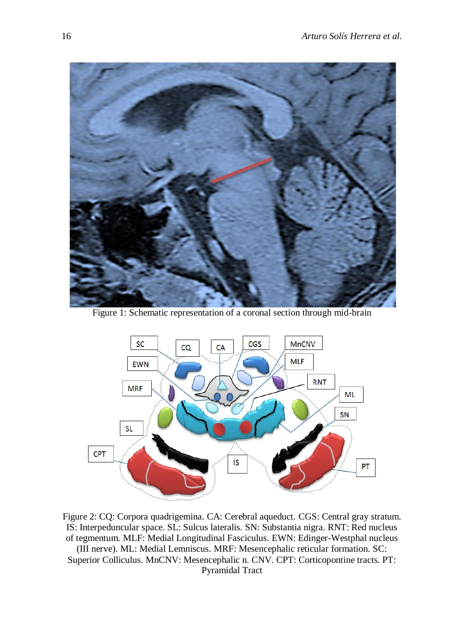

Figure 1: Schematic representation of a coronal section through mid-brain



Figure 2: CQ: Corpora quadrigemina. CA: Cerebral aqueduct. CGS: Central gray stratum. IS: Interpeduncular space. SL: Sulcus lateralis. SN: Substantia nigra. RNT: Red nucleus of tegmentum. MLF: Medial Longitudinal Fasciculus. EWN: Edinger-Westphal nucleus (III nerve). ML: Medial Lemniscus. MRF: Mesencephalic reticular formation. SC: Superior Colliculus. MnCNV: Mesencephalic n. CNV. CPT: Corticopontine tracts. PT: Pyramidal Tract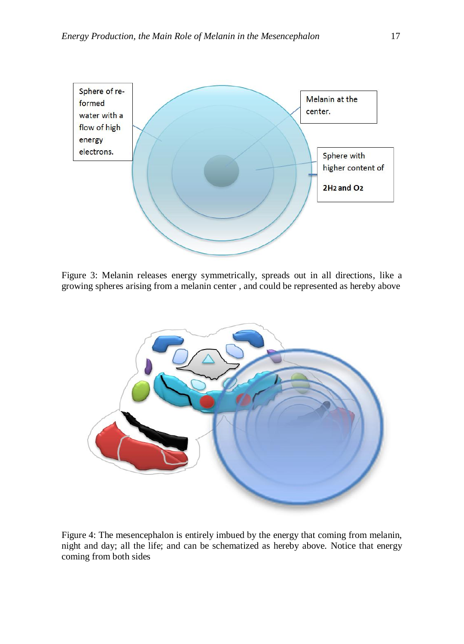

Figure 3: Melanin releases energy symmetrically, spreads out in all directions, like a growing spheres arising from a melanin center , and could be represented as hereby above



Figure 4: The mesencephalon is entirely imbued by the energy that coming from melanin, night and day; all the life; and can be schematized as hereby above. Notice that energy coming from both sides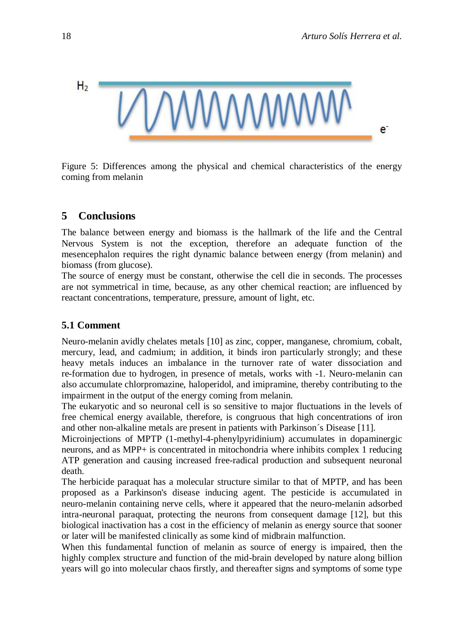

Figure 5: Differences among the physical and chemical characteristics of the energy coming from melanin

## **5 Conclusions**

The balance between energy and biomass is the hallmark of the life and the Central Nervous System is not the exception, therefore an adequate function of the mesencephalon requires the right dynamic balance between energy (from melanin) and biomass (from glucose).

The source of energy must be constant, otherwise the cell die in seconds. The processes are not symmetrical in time, because, as any other chemical reaction; are influenced by reactant concentrations, temperature, pressure, amount of light, etc.

## **5.1 Comment**

Neuro-melanin avidly chelates metals [10] as zinc, copper, manganese, chromium, cobalt, mercury, lead, and cadmium; in addition, it binds iron particularly strongly; and these heavy metals induces an imbalance in the turnover rate of water dissociation and re-formation due to hydrogen, in presence of metals, works with -1. Neuro-melanin can also accumulate chlorpromazine, haloperidol, and imipramine, thereby contributing to the impairment in the output of the energy coming from melanin.

The eukaryotic and so neuronal cell is so sensitive to major fluctuations in the levels of free chemical energy available, therefore, is congruous that high concentrations of iron and other non-alkaline metals are present in patients with Parkinson´s Disease [11].

Microinjections of MPTP (1-methyl-4-phenylpyridinium) accumulates in dopaminergic neurons, and as MPP+ is concentrated in mitochondria where inhibits complex 1 reducing ATP generation and causing increased free-radical production and subsequent neuronal death.

The herbicide paraquat has a molecular structure similar to that of MPTP, and has been proposed as a Parkinson's disease inducing agent. The pesticide is accumulated in neuro-melanin containing nerve cells, where it appeared that the neuro-melanin adsorbed intra-neuronal paraquat, protecting the neurons from consequent damage [12], but this biological inactivation has a cost in the efficiency of melanin as energy source that sooner or later will be manifested clinically as some kind of midbrain malfunction.

When this fundamental function of melanin as source of energy is impaired, then the highly complex structure and function of the mid-brain developed by nature along billion years will go into molecular chaos firstly, and thereafter signs and symptoms of some type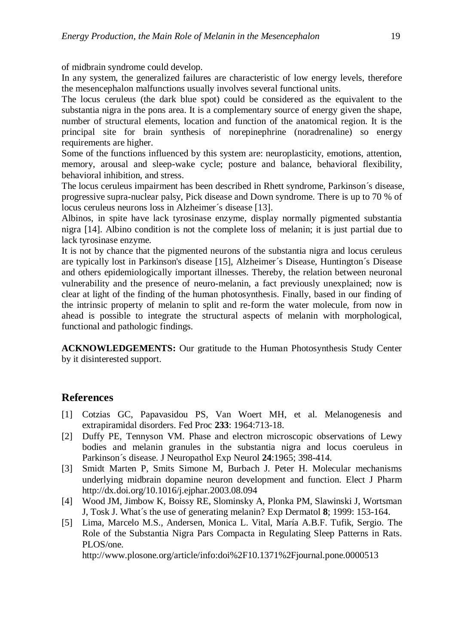of midbrain syndrome could develop.

In any system, the generalized failures are characteristic of low energy levels, therefore the mesencephalon malfunctions usually involves several functional units.

The locus ceruleus (the dark blue spot) could be considered as the equivalent to the substantia nigra in the pons area. It is a complementary source of energy given the shape, number of structural elements, location and function of the anatomical region. It is the principal site for brain synthesis of [norepinephrine](http://en.wikipedia.org/wiki/Norepinephrine) (noradrenaline) so energy requirements are higher.

Some of the functions influenced by this system are: neuroplasticity, emotions, attention, memory, arousal and sleep-wake cycle; posture and balance, behavioral flexibility, behavioral inhibition, and stress.

The locus ceruleus impairment has been described in Rhett syndrome, Parkinson´s disease, progressive supra-nuclear palsy, Pick disease and Down syndrome. There is up to 70 % of locus ceruleus neurons loss in Alzheimer´s disease [13].

Albinos, in spite have lack tyrosinase enzyme, display normally pigmented substantia nigra [14]. Albino condition is not the complete loss of melanin; it is just partial due to lack tyrosinase enzyme.

It is not by chance that the pigmented neurons of the substantia nigra and locus ceruleus are typically lost in Parkinson's disease [15], Alzheimer´s Disease, Huntington´s Disease and others epidemiologically important illnesses. Thereby, the relation between neuronal vulnerability and the presence of neuro-melanin, a fact previously unexplained; now is clear at light of the finding of the human photosynthesis. Finally, based in our finding of the intrinsic property of melanin to split and re-form the water molecule, from now in ahead is possible to integrate the structural aspects of melanin with morphological, functional and pathologic findings.

**ACKNOWLEDGEMENTS:** Our gratitude to the Human Photosynthesis Study Center by it disinterested support.

## **References**

- [1] Cotzias GC, Papavasidou PS, Van Woert MH, et al. Melanogenesis and extrapiramidal disorders. Fed Proc **233**: 1964:713-18.
- [2] Duffy PE, Tennyson VM. Phase and electron microscopic observations of Lewy bodies and melanin granules in the substantia nigra and locus coeruleus in Parkinson´s disease. J Neuropathol Exp Neurol **24**:1965; 398-414.
- [3] Smidt Marten P, Smits Simone M, Burbach J. Peter H. Molecular mechanisms underlying midbrain dopamine neuron development and function. Elect J Pharm <http://dx.doi.org/10.1016/j.ejphar.2003.08.094>
- [4] Wood JM, Jimbow K, Boissy RE, Slominsky A, Plonka PM, Slawinski J, Wortsman J, Tosk J. What´s the use of generating melanin? Exp Dermatol **8**; 1999: 153-164.
- [5] Lima, Marcelo M.S., Andersen, Monica L. Vital, María A.B.F. Tufik, Sergio. The Role of the Substantia Nigra Pars Compacta in Regulating Sleep Patterns in Rats. PLOS/one.

http://www.plosone.org/article/info:doi%2F10.1371%2Fjournal.pone.0000513